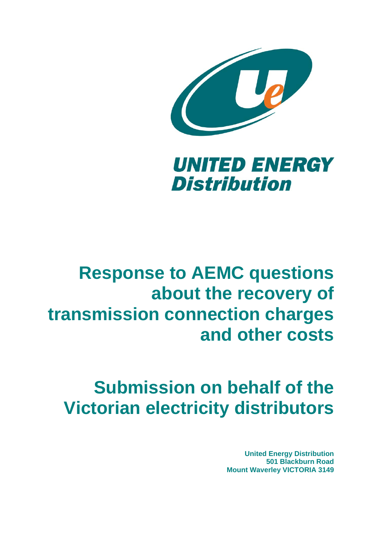



# **Response to AEMC questions about the recovery of transmission connection charges and other costs**

# **Submission on behalf of the Victorian electricity distributors**

**United Energy Distribution 501 Blackburn Road Mount Waverley VICTORIA 3149**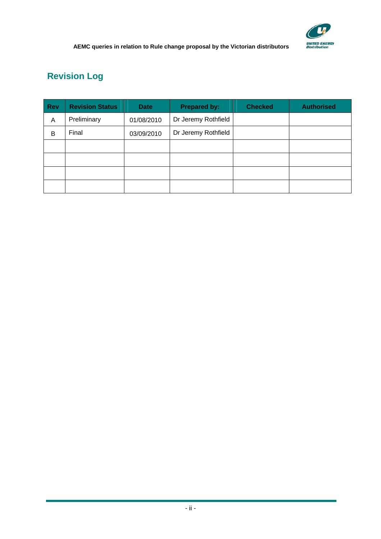

# **Revision Log**

| Rev | <b>Revision Status</b> | <b>Date</b> | <b>Prepared by:</b> | <b>Checked</b> | <b>Authorised</b> |
|-----|------------------------|-------------|---------------------|----------------|-------------------|
| A   | Preliminary            | 01/08/2010  | Dr Jeremy Rothfield |                |                   |
| В   | Final                  | 03/09/2010  | Dr Jeremy Rothfield |                |                   |
|     |                        |             |                     |                |                   |
|     |                        |             |                     |                |                   |
|     |                        |             |                     |                |                   |
|     |                        |             |                     |                |                   |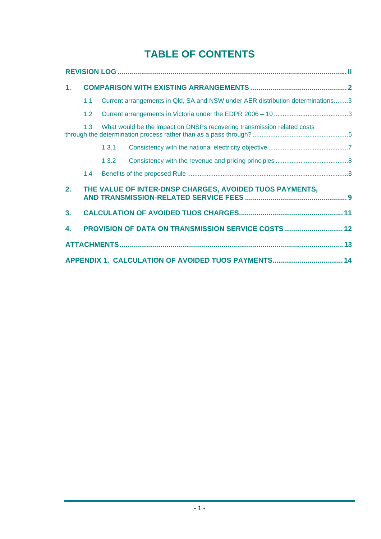# **TABLE OF CONTENTS**

| 1.             |                                                                                |       |                                                                                |  |  |  |
|----------------|--------------------------------------------------------------------------------|-------|--------------------------------------------------------------------------------|--|--|--|
|                | 1.1                                                                            |       | Current arrangements in Qld, SA and NSW under AER distribution determinations3 |  |  |  |
|                | 1.2                                                                            |       |                                                                                |  |  |  |
|                | What would be the impact on DNSPs recovering transmission related costs<br>1.3 |       |                                                                                |  |  |  |
|                |                                                                                | 1.3.1 |                                                                                |  |  |  |
|                |                                                                                | 1.3.2 |                                                                                |  |  |  |
|                | 1.4                                                                            |       |                                                                                |  |  |  |
| 2.             |                                                                                |       | THE VALUE OF INTER-DNSP CHARGES, AVOIDED TUOS PAYMENTS,                        |  |  |  |
| 3 <sub>1</sub> |                                                                                |       |                                                                                |  |  |  |
| 4.             | PROVISION OF DATA ON TRANSMISSION SERVICE COSTS 12                             |       |                                                                                |  |  |  |
|                |                                                                                |       |                                                                                |  |  |  |
|                |                                                                                |       |                                                                                |  |  |  |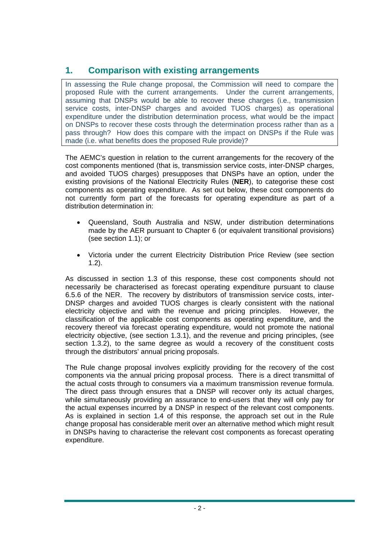# **1. Comparison with existing arrangements**

In assessing the Rule change proposal, the Commission will need to compare the proposed Rule with the current arrangements. Under the current arrangements, assuming that DNSPs would be able to recover these charges (i.e., transmission service costs, inter-DNSP charges and avoided TUOS charges) as operational expenditure under the distribution determination process, what would be the impact on DNSPs to recover these costs through the determination process rather than as a pass through? How does this compare with the impact on DNSPs if the Rule was made (i.e. what benefits does the proposed Rule provide)?

The AEMC's question in relation to the current arrangements for the recovery of the cost components mentioned (that is, transmission service costs, inter-DNSP charges, and avoided TUOS charges) presupposes that DNSPs have an option, under the existing provisions of the National Electricity Rules (**NER**), to categorise these cost components as operating expenditure. As set out below, these cost components do not currently form part of the forecasts for operating expenditure as part of a distribution determination in:

- Queensland, South Australia and NSW, under distribution determinations made by the AER pursuant to Chapter 6 (or equivalent transitional provisions) (see section 1.1); or
- Victoria under the current Electricity Distribution Price Review (see section 1.2).

As discussed in section 1.3 of this response, these cost components should not necessarily be characterised as forecast operating expenditure pursuant to clause 6.5.6 of the NER. The recovery by distributors of transmission service costs, inter-DNSP charges and avoided TUOS charges is clearly consistent with the national electricity objective and with the revenue and pricing principles. However, the classification of the applicable cost components as operating expenditure, and the recovery thereof via forecast operating expenditure, would not promote the national electricity objective, (see section 1.3.1), and the revenue and pricing principles, (see section 1.3.2), to the same degree as would a recovery of the constituent costs through the distributors' annual pricing proposals.

The Rule change proposal involves explicitly providing for the recovery of the cost components via the annual pricing proposal process. There is a direct transmittal of the actual costs through to consumers via a maximum transmission revenue formula. The direct pass through ensures that a DNSP will recover only its actual charges, while simultaneously providing an assurance to end-users that they will only pay for the actual expenses incurred by a DNSP in respect of the relevant cost components. As is explained in section 1.4 of this response, the approach set out in the Rule change proposal has considerable merit over an alternative method which might result in DNSPs having to characterise the relevant cost components as forecast operating expenditure.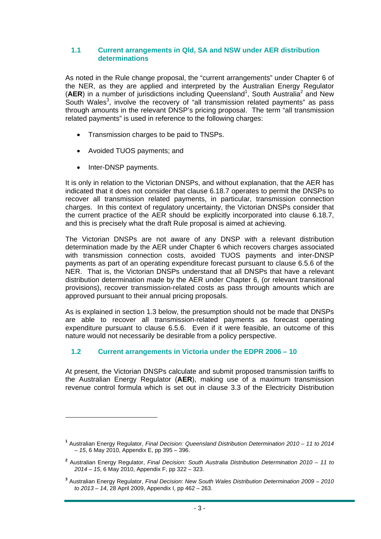## **1.1 Current arrangements in Qld, SA and NSW under AER distribution determinations**

As noted in the Rule change proposal, the "current arrangements" under Chapter 6 of the NER, as they are applied and interpreted by the Australian Energy Regulator  $(AER)$  in a number of jurisdictions including Queensland<sup>1</sup>, South Australia<sup>2</sup> and New South Wales<sup>3</sup>, involve the recovery of "all transmission related payments" as pass through amounts in the relevant DNSP's pricing proposal. The term "all transmission related payments" is used in reference to the following charges:

- Transmission charges to be paid to TNSPs.
- Avoided TUOS payments; and
- Inter-DNSP payments.

It is only in relation to the Victorian DNSPs, and without explanation, that the AER has indicated that it does not consider that clause 6.18.7 operates to permit the DNSPs to recover all transmission related payments, in particular, transmission connection charges. In this context of regulatory uncertainty, the Victorian DNSPs consider that the current practice of the AER should be explicitly incorporated into clause 6.18.7, and this is precisely what the draft Rule proposal is aimed at achieving.

The Victorian DNSPs are not aware of any DNSP with a relevant distribution determination made by the AER under Chapter 6 which recovers charges associated with transmission connection costs, avoided TUOS payments and inter-DNSP payments as part of an operating expenditure forecast pursuant to clause 6.5.6 of the NER. That is, the Victorian DNSPs understand that all DNSPs that have a relevant distribution determination made by the AER under Chapter 6, (or relevant transitional provisions), recover transmission-related costs as pass through amounts which are approved pursuant to their annual pricing proposals.

As is explained in section 1.3 below, the presumption should not be made that DNSPs are able to recover all transmission-related payments as forecast operating expenditure pursuant to clause 6.5.6. Even if it were feasible, an outcome of this nature would not necessarily be desirable from a policy perspective.

# **1.2 Current arrangements in Victoria under the EDPR 2006 – 10**

At present, the Victorian DNSPs calculate and submit proposed transmission tariffs to the Australian Energy Regulator (**AER**), making use of a maximum transmission revenue control formula which is set out in clause 3.3 of the Electricity Distribution

**<sup>1</sup>** Australian Energy Regulator, *Final Decision: Queensland Distribution Determination 2010 – 11 to 2014 – 15*, 6 May 2010, Appendix E, pp 395 – 396.

**<sup>2</sup>** Australian Energy Regulator, *Final Decision: South Australia Distribution Determination 2010 – 11 to 2014 – 15*, 6 May 2010, Appendix F, pp 322 – 323.

**<sup>3</sup>** Australian Energy Regulator, *Final Decision: New South Wales Distribution Determination 2009 – 2010 to 2013 – 14*, 28 April 2009, Appendix I, pp 462 – 263.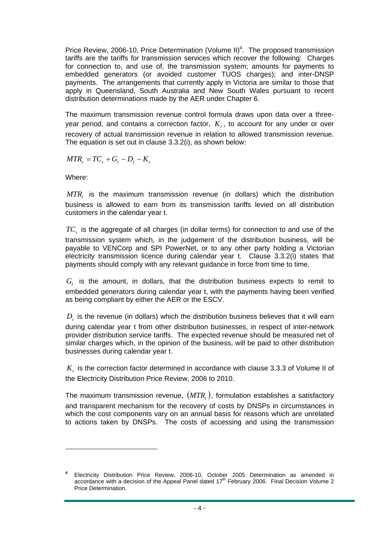Price Review, 2006-10, Price Determination (Volume II)<sup>4</sup>. The proposed transmission tariffs are the tariffs for transmission services which recover the following: Charges for connection to, and use of, the transmission system; amounts for payments to embedded generators (or avoided customer TUOS charges); and inter-DNSP payments. The arrangements that currently apply in Victoria are similar to those that apply in Queensland, South Australia and New South Wales pursuant to recent distribution determinations made by the AER under Chapter 6.

The maximum transmission revenue control formula draws upon data over a threeyear period, and contains a correction factor,  $K_t$ , to account for any under or over recovery of actual transmission revenue in relation to allowed transmission revenue. The equation is set out in clause 3.3.2(i), as shown below:

 $MTR_t = TC_t + G_t - D_t - K_t$ 

Where:

*MTR*, is the maximum transmission revenue (in dollars) which the distribution business is allowed to earn from its transmission tariffs levied on all distribution customers in the calendar year t.

*TC<sub>t</sub>* is the aggregate of all charges (in dollar terms) for connection to and use of the transmission system which, in the judgement of the distribution business, will be payable to VENCorp and SPI PowerNet, or to any other party holding a Victorian electricity transmission licence during calendar year t. Clause 3.3.2(i) states that payments should comply with any relevant guidance in force from time to time.

 $G<sub>t</sub>$  is the amount, in dollars, that the distribution business expects to remit to embedded generators during calendar year t, with the payments having been verified as being compliant by either the AER or the ESCV.

 $D<sub>t</sub>$  is the revenue (in dollars) which the distribution business believes that it will earn during calendar year t from other distribution businesses, in respect of inter-network provider distribution service tariffs. The expected revenue should be measured net of similar charges which, in the opinion of the business, will be paid to other distribution businesses during calendar year t.

*K*, is the correction factor determined in accordance with clause 3.3.3 of Volume II of the Electricity Distribution Price Review, 2006 to 2010.

The maximum transmission revenue,  $(MTR_i)$ , formulation establishes a satisfactory and transparent mechanism for the recovery of costs by DNSPs in circumstances in which the cost components vary on an annual basis for reasons which are unrelated to actions taken by DNSPs. The costs of accessing and using the transmission

**<sup>4</sup>** Electricity Distribution Price Review, 2006-10, October 2005 Determination as amended in accordance with a decision of the Appeal Panel dated 17<sup>th</sup> February 2006. Final Decision Volume 2 Price Determination.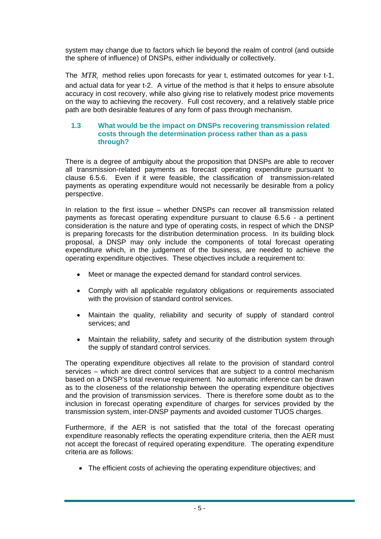system may change due to factors which lie beyond the realm of control (and outside the sphere of influence) of DNSPs, either individually or collectively.

The *MTR*, method relies upon forecasts for year t, estimated outcomes for year t-1, and actual data for year t-2. A virtue of the method is that it helps to ensure absolute accuracy in cost recovery, while also giving rise to relatively modest price movements on the way to achieving the recovery. Full cost recovery, and a relatively stable price path are both desirable features of any form of pass through mechanism.

# **1.3 What would be the impact on DNSPs recovering transmission related costs through the determination process rather than as a pass through?**

There is a degree of ambiguity about the proposition that DNSPs are able to recover all transmission-related payments as forecast operating expenditure pursuant to clause 6.5.6. Even if it were feasible, the classification of transmission-related payments as operating expenditure would not necessarily be desirable from a policy perspective.

In relation to the first issue – whether DNSPs can recover all transmission related payments as forecast operating expenditure pursuant to clause 6.5.6 - a pertinent consideration is the nature and type of operating costs, in respect of which the DNSP is preparing forecasts for the distribution determination process. In its building block proposal, a DNSP may only include the components of total forecast operating expenditure which, in the judgement of the business, are needed to achieve the operating expenditure objectives. These objectives include a requirement to:

- Meet or manage the expected demand for standard control services.
- Comply with all applicable regulatory obligations or requirements associated with the provision of standard control services.
- Maintain the quality, reliability and security of supply of standard control services; and
- Maintain the reliability, safety and security of the distribution system through the supply of standard control services.

The operating expenditure objectives all relate to the provision of standard control services – which are direct control services that are subject to a control mechanism based on a DNSP's total revenue requirement. No automatic inference can be drawn as to the closeness of the relationship between the operating expenditure objectives and the provision of transmission services. There is therefore some doubt as to the inclusion in forecast operating expenditure of charges for services provided by the transmission system, inter-DNSP payments and avoided customer TUOS charges.

Furthermore, if the AER is not satisfied that the total of the forecast operating expenditure reasonably reflects the operating expenditure criteria, then the AER must not accept the forecast of required operating expenditure. The operating expenditure criteria are as follows:

• The efficient costs of achieving the operating expenditure objectives; and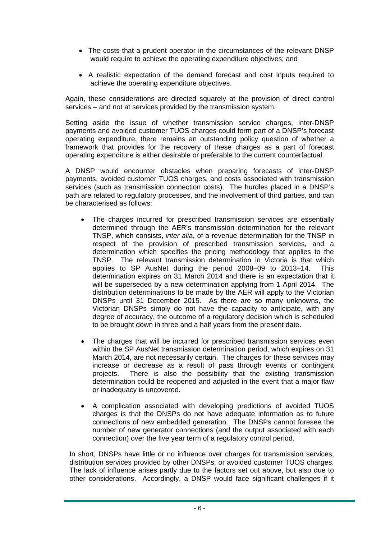- The costs that a prudent operator in the circumstances of the relevant DNSP would require to achieve the operating expenditure objectives; and
- A realistic expectation of the demand forecast and cost inputs required to achieve the operating expenditure objectives.

Again, these considerations are directed squarely at the provision of direct control services – and not at services provided by the transmission system.

Setting aside the issue of whether transmission service charges, inter-DNSP payments and avoided customer TUOS charges could form part of a DNSP's forecast operating expenditure, there remains an outstanding policy question of whether a framework that provides for the recovery of these charges as a part of forecast operating expenditure is either desirable or preferable to the current counterfactual.

A DNSP would encounter obstacles when preparing forecasts of inter-DNSP payments, avoided customer TUOS charges, and costs associated with transmission services (such as transmission connection costs). The hurdles placed in a DNSP's path are related to regulatory processes, and the involvement of third parties, and can be characterised as follows:

- The charges incurred for prescribed transmission services are essentially determined through the AER's transmission determination for the relevant TNSP, which consists, *inter alia*, of a revenue determination for the TNSP in respect of the provision of prescribed transmission services, and a determination which specifies the pricing methodology that applies to the TNSP. The relevant transmission determination in Victoria is that which applies to SP AusNet during the period 2008–09 to 2013–14. This determination expires on 31 March 2014 and there is an expectation that it will be superseded by a new determination applying from 1 April 2014. The distribution determinations to be made by the AER will apply to the Victorian DNSPs until 31 December 2015. As there are so many unknowns, the Victorian DNSPs simply do not have the capacity to anticipate, with any degree of accuracy, the outcome of a regulatory decision which is scheduled to be brought down in three and a half years from the present date.
- The charges that will be incurred for prescribed transmission services even within the SP AusNet transmission determination period, which expires on 31 March 2014, are not necessarily certain. The charges for these services may increase or decrease as a result of pass through events or contingent projects. There is also the possibility that the existing transmission determination could be reopened and adjusted in the event that a major flaw or inadequacy is uncovered.
- A complication associated with developing predictions of avoided TUOS charges is that the DNSPs do not have adequate information as to future connections of new embedded generation. The DNSPs cannot foresee the number of new generator connections (and the output associated with each connection) over the five year term of a regulatory control period.

In short, DNSPs have little or no influence over charges for transmission services, distribution services provided by other DNSPs, or avoided customer TUOS charges. The lack of influence arises partly due to the factors set out above, but also due to other considerations. Accordingly, a DNSP would face significant challenges if it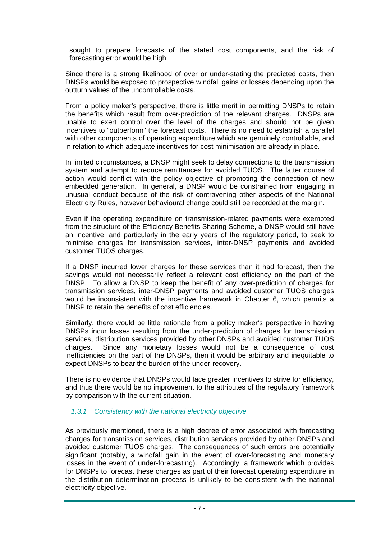sought to prepare forecasts of the stated cost components, and the risk of forecasting error would be high.

Since there is a strong likelihood of over or under-stating the predicted costs, then DNSPs would be exposed to prospective windfall gains or losses depending upon the outturn values of the uncontrollable costs.

From a policy maker's perspective, there is little merit in permitting DNSPs to retain the benefits which result from over-prediction of the relevant charges. DNSPs are unable to exert control over the level of the charges and should not be given incentives to "outperform" the forecast costs. There is no need to establish a parallel with other components of operating expenditure which are genuinely controllable, and in relation to which adequate incentives for cost minimisation are already in place.

In limited circumstances, a DNSP might seek to delay connections to the transmission system and attempt to reduce remittances for avoided TUOS. The latter course of action would conflict with the policy objective of promoting the connection of new embedded generation. In general, a DNSP would be constrained from engaging in unusual conduct because of the risk of contravening other aspects of the National Electricity Rules, however behavioural change could still be recorded at the margin.

Even if the operating expenditure on transmission-related payments were exempted from the structure of the Efficiency Benefits Sharing Scheme, a DNSP would still have an incentive, and particularly in the early years of the regulatory period, to seek to minimise charges for transmission services, inter-DNSP payments and avoided customer TUOS charges.

If a DNSP incurred lower charges for these services than it had forecast, then the savings would not necessarily reflect a relevant cost efficiency on the part of the DNSP. To allow a DNSP to keep the benefit of any over-prediction of charges for transmission services, inter-DNSP payments and avoided customer TUOS charges would be inconsistent with the incentive framework in Chapter 6, which permits a DNSP to retain the benefits of cost efficiencies.

Similarly, there would be little rationale from a policy maker's perspective in having DNSPs incur losses resulting from the under-prediction of charges for transmission services, distribution services provided by other DNSPs and avoided customer TUOS charges. Since any monetary losses would not be a consequence of cost inefficiencies on the part of the DNSPs, then it would be arbitrary and inequitable to expect DNSPs to bear the burden of the under-recovery.

There is no evidence that DNSPs would face greater incentives to strive for efficiency, and thus there would be no improvement to the attributes of the regulatory framework by comparison with the current situation.

# *1.3.1 Consistency with the national electricity objective*

As previously mentioned, there is a high degree of error associated with forecasting charges for transmission services, distribution services provided by other DNSPs and avoided customer TUOS charges. The consequences of such errors are potentially significant (notably, a windfall gain in the event of over-forecasting and monetary losses in the event of under-forecasting). Accordingly, a framework which provides for DNSPs to forecast these charges as part of their forecast operating expenditure in the distribution determination process is unlikely to be consistent with the national electricity objective.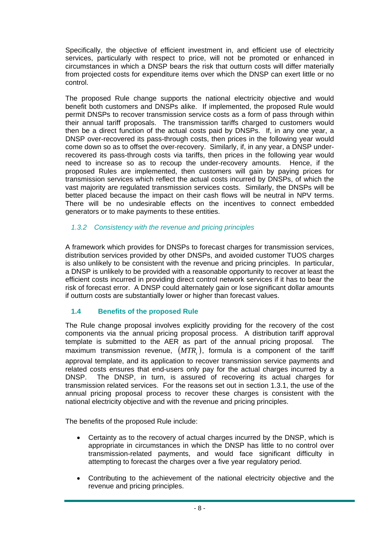Specifically, the objective of efficient investment in, and efficient use of electricity services, particularly with respect to price, will not be promoted or enhanced in circumstances in which a DNSP bears the risk that outturn costs will differ materially from projected costs for expenditure items over which the DNSP can exert little or no control.

The proposed Rule change supports the national electricity objective and would benefit both customers and DNSPs alike. If implemented, the proposed Rule would permit DNSPs to recover transmission service costs as a form of pass through within their annual tariff proposals. The transmission tariffs charged to customers would then be a direct function of the actual costs paid by DNSPs. If, in any one year, a DNSP over-recovered its pass-through costs, then prices in the following year would come down so as to offset the over-recovery. Similarly, if, in any year, a DNSP underrecovered its pass-through costs via tariffs, then prices in the following year would need to increase so as to recoup the under-recovery amounts. Hence, if the proposed Rules are implemented, then customers will gain by paying prices for transmission services which reflect the actual costs incurred by DNSPs, of which the vast majority are regulated transmission services costs. Similarly, the DNSPs will be better placed because the impact on their cash flows will be neutral in NPV terms. There will be no undesirable effects on the incentives to connect embedded generators or to make payments to these entities.

# *1.3.2 Consistency with the revenue and pricing principles*

A framework which provides for DNSPs to forecast charges for transmission services, distribution services provided by other DNSPs, and avoided customer TUOS charges is also unlikely to be consistent with the revenue and pricing principles. In particular, a DNSP is unlikely to be provided with a reasonable opportunity to recover at least the efficient costs incurred in providing direct control network services if it has to bear the risk of forecast error. A DNSP could alternately gain or lose significant dollar amounts if outturn costs are substantially lower or higher than forecast values.

# **1.4 Benefits of the proposed Rule**

The Rule change proposal involves explicitly providing for the recovery of the cost components via the annual pricing proposal process. A distribution tariff approval template is submitted to the AER as part of the annual pricing proposal. The maximum transmission revenue,  $(MTR_1)$ , formula is a component of the tariff approval template, and its application to recover transmission service payments and related costs ensures that end-users only pay for the actual charges incurred by a DNSP. The DNSP, in turn, is assured of recovering its actual charges for transmission related services. For the reasons set out in section 1.3.1, the use of the annual pricing proposal process to recover these charges is consistent with the national electricity objective and with the revenue and pricing principles.

The benefits of the proposed Rule include:

- Certainty as to the recovery of actual charges incurred by the DNSP, which is appropriate in circumstances in which the DNSP has little to no control over transmission-related payments, and would face significant difficulty in attempting to forecast the charges over a five year regulatory period.
- Contributing to the achievement of the national electricity objective and the revenue and pricing principles.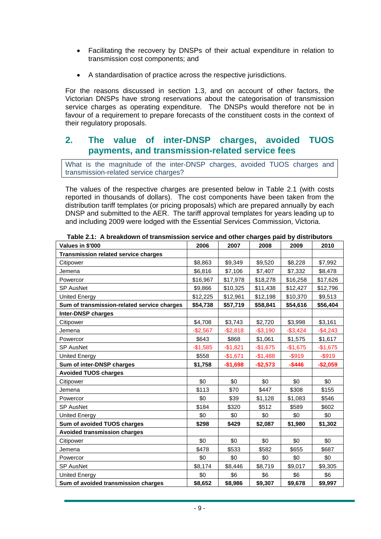- Facilitating the recovery by DNSPs of their actual expenditure in relation to transmission cost components; and
- A standardisation of practice across the respective jurisdictions.

For the reasons discussed in section 1.3, and on account of other factors, the Victorian DNSPs have strong reservations about the categorisation of transmission service charges as operating expenditure. The DNSPs would therefore not be in favour of a requirement to prepare forecasts of the constituent costs in the context of their regulatory proposals.

# **2. The value of inter-DNSP charges, avoided TUOS payments, and transmission-related service fees**

What is the magnitude of the inter-DNSP charges, avoided TUOS charges and transmission-related service charges?

The values of the respective charges are presented below in Table 2.1 (with costs reported in thousands of dollars). The cost components have been taken from the distribution tariff templates (or pricing proposals) which are prepared annually by each DNSP and submitted to the AER. The tariff approval templates for years leading up to and including 2009 were lodged with the Essential Services Commission, Victoria.

| Values in \$'000                            | 2006      | 2007      | 2008      | 2009        | 2010      |
|---------------------------------------------|-----------|-----------|-----------|-------------|-----------|
| Transmission related service charges        |           |           |           |             |           |
| Citipower                                   | \$8,863   | \$9,349   | \$9,520   | \$8,228     | \$7,992   |
| Jemena                                      | \$6,816   | \$7,106   | \$7,407   | \$7,332     | \$8,478   |
| Powercor                                    | \$16,967  | \$17,978  | \$18,278  | \$16,258    | \$17,626  |
| <b>SP AusNet</b>                            | \$9,866   | \$10,325  | \$11,438  | \$12,427    | \$12,796  |
| <b>United Energy</b>                        | \$12,225  | \$12,961  | \$12,198  | \$10,370    | \$9,513   |
| Sum of transmission-related service charges | \$54,738  | \$57,719  | \$58,841  | \$54,616    | \$56,404  |
| Inter-DNSP charges                          |           |           |           |             |           |
| Citipower                                   | \$4,708   | \$3,743   | \$2,720   | \$3,998     | \$3,161   |
| Jemena                                      | $-$2,567$ | $-$2,818$ | $-$3,190$ | $-$ \$3,424 | $-$4,243$ |
| Powercor                                    | \$643     | \$868     | \$1,061   | \$1,575     | \$1,617   |
| <b>SP AusNet</b>                            | $-$1,585$ | $-$1,821$ | $-$1,675$ | $-$1,675$   | $-$1,675$ |
| <b>United Energy</b>                        | \$558     | $-$1,671$ | $-$1,488$ | $-$ \$919   | $-$ \$919 |
| Sum of inter-DNSP charges                   | \$1,758   | $-$1,698$ | $-$2,573$ | $-$ \$446   | $-$2,059$ |
| <b>Avoided TUOS charges</b>                 |           |           |           |             |           |
| Citipower                                   | \$0       | \$0       | \$0       | \$0         | \$0       |
| Jemena                                      | \$113     | \$70      | \$447     | \$308       | \$155     |
| Powercor                                    | \$0       | \$39      | \$1,128   | \$1,083     | \$546     |
| <b>SP AusNet</b>                            | \$184     | \$320     | \$512     | \$589       | \$602     |
| <b>United Energy</b>                        | \$0       | \$0       | \$0       | \$0         | \$0       |
| Sum of avoided TUOS charges                 | \$298     | \$429     | \$2,087   | \$1,980     | \$1,302   |
| <b>Avoided transmission charges</b>         |           |           |           |             |           |
| Citipower                                   | \$0       | \$0       | \$0       | \$0         | \$0       |
| Jemena                                      | \$478     | \$533     | \$582     | \$655       | \$687     |
| Powercor                                    | \$0       | \$0       | \$0       | \$0         | \$0       |
| <b>SP AusNet</b>                            | \$8,174   | \$8,446   | \$8,719   | \$9,017     | \$9,305   |
| <b>United Energy</b>                        | \$0       | \$6       | \$6       | \$6         | \$6       |
| Sum of avoided transmission charges         | \$8,652   | \$8,986   | \$9,307   | \$9,678     | \$9,997   |

**Table 2.1: A breakdown of transmission service and other charges paid by distributors**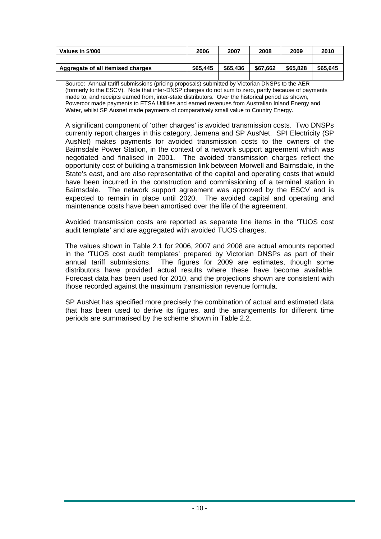| Values in \$'000                  | 2006     | 2007     | 2008     | 2009     | 2010     |
|-----------------------------------|----------|----------|----------|----------|----------|
|                                   |          |          |          |          |          |
| Aggregate of all itemised charges | \$65.445 | \$65,436 | \$67,662 | \$65,828 | \$65.645 |
|                                   |          |          |          |          |          |

Source: Annual tariff submissions (pricing proposals) submitted by Victorian DNSPs to the AER (formerly to the ESCV). Note that inter-DNSP charges do not sum to zero, partly because of payments made to, and receipts earned from, inter-state distributors. Over the historical period as shown, Powercor made payments to ETSA Utilities and earned revenues from Australian Inland Energy and Water, whilst SP Ausnet made payments of comparatively small value to Country Energy.

A significant component of 'other charges' is avoided transmission costs. Two DNSPs currently report charges in this category, Jemena and SP AusNet. SPI Electricity (SP AusNet) makes payments for avoided transmission costs to the owners of the Bairnsdale Power Station, in the context of a network support agreement which was negotiated and finalised in 2001. The avoided transmission charges reflect the opportunity cost of building a transmission link between Morwell and Bairnsdale, in the State's east, and are also representative of the capital and operating costs that would have been incurred in the construction and commissioning of a terminal station in Bairnsdale. The network support agreement was approved by the ESCV and is expected to remain in place until 2020. The avoided capital and operating and maintenance costs have been amortised over the life of the agreement.

Avoided transmission costs are reported as separate line items in the 'TUOS cost audit template' and are aggregated with avoided TUOS charges.

The values shown in Table 2.1 for 2006, 2007 and 2008 are actual amounts reported in the 'TUOS cost audit templates' prepared by Victorian DNSPs as part of their annual tariff submissions. The figures for 2009 are estimates, though some distributors have provided actual results where these have become available. Forecast data has been used for 2010, and the projections shown are consistent with those recorded against the maximum transmission revenue formula.

SP AusNet has specified more precisely the combination of actual and estimated data that has been used to derive its figures, and the arrangements for different time periods are summarised by the scheme shown in Table 2.2.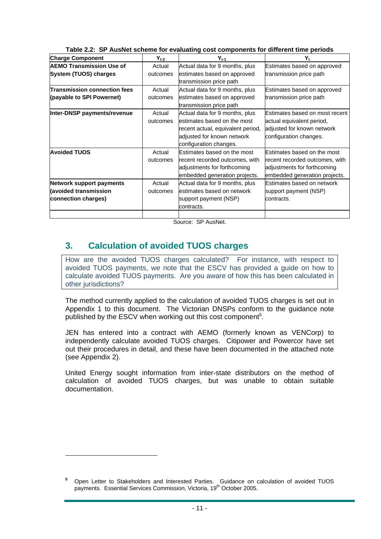| <b>Charge Component</b>                                                  | $Y_{t-2}$          | $Y_{t-1}$                                                                                                                                                  | Υ,                                                                                                                            |
|--------------------------------------------------------------------------|--------------------|------------------------------------------------------------------------------------------------------------------------------------------------------------|-------------------------------------------------------------------------------------------------------------------------------|
| <b>AEMO Transmission Use of</b><br>System (TUOS) charges                 | Actual<br>outcomes | Actual data for 9 months, plus<br>estimates based on approved<br>transmission price path                                                                   | Estimates based on approved<br>transmission price path                                                                        |
| Transmission connection fees<br>(payable to SPI Powernet)                | Actual<br>outcomes | Actual data for 9 months, plus<br>estimates based on approved<br>transmission price path                                                                   | Estimates based on approved<br>transmission price path                                                                        |
| Inter-DNSP payments/revenue                                              | Actual<br>outcomes | Actual data for 9 months, plus<br>estimates based on the most<br>recent actual, equivalent period,<br>adjusted for known network<br>configuration changes. | Estimates based on most recent<br>actual equivalent period,<br>adjusted for known network<br>configuration changes.           |
| <b>Avoided TUOS</b>                                                      | Actual<br>outcomes | Estimates based on the most<br>recent recorded outcomes, with<br>adjustments for forthcoming<br>embedded generation projects.                              | Estimates based on the most<br>recent recorded outcomes, with<br>adjustments for forthcoming<br>embedded generation projects. |
| Network support payments<br>(avoided transmission<br>connection charges) | Actual<br>outcomes | Actual data for 9 months, plus<br>estimates based on network<br>support payment (NSP)<br>contracts.                                                        | Estimates based on network<br>support payment (NSP)<br>contracts.                                                             |

**Table 2.2: SP AusNet scheme for evaluating cost components for different time periods** 

Source: SP AusNet.

# **3. Calculation of avoided TUOS charges**

 $\overline{a}$ 

How are the avoided TUOS charges calculated? For instance, with respect to avoided TUOS payments, we note that the ESCV has provided a guide on how to calculate avoided TUOS payments. Are you aware of how this has been calculated in other jurisdictions?

The method currently applied to the calculation of avoided TUOS charges is set out in Appendix 1 to this document. The Victorian DNSPs conform to the guidance note published by the ESCV when working out this cost component<sup>5</sup>.

JEN has entered into a contract with AEMO (formerly known as VENCorp) to independently calculate avoided TUOS charges. Citipower and Powercor have set out their procedures in detail, and these have been documented in the attached note (see Appendix 2).

United Energy sought information from inter-state distributors on the method of calculation of avoided TUOS charges, but was unable to obtain suitable documentation.

**<sup>5</sup>** Open Letter to Stakeholders and Interested Parties. Guidance on calculation of avoided TUOS payments. Essential Services Commission, Victoria, 19<sup>th</sup> October 2005.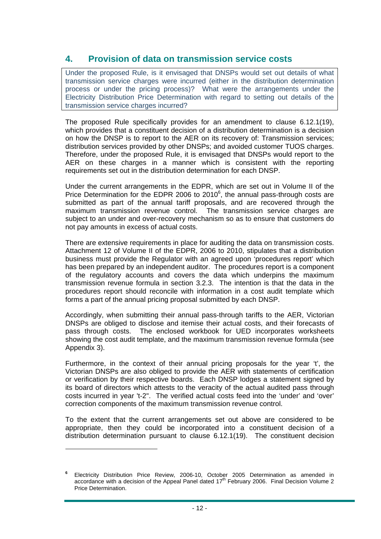# **4. Provision of data on transmission service costs**

Under the proposed Rule, is it envisaged that DNSPs would set out details of what transmission service charges were incurred (either in the distribution determination process or under the pricing process)? What were the arrangements under the Electricity Distribution Price Determination with regard to setting out details of the transmission service charges incurred?

The proposed Rule specifically provides for an amendment to clause 6.12.1(19), which provides that a constituent decision of a distribution determination is a decision on how the DNSP is to report to the AER on its recovery of: Transmission services; distribution services provided by other DNSPs; and avoided customer TUOS charges. Therefore, under the proposed Rule, it is envisaged that DNSPs would report to the AER on these charges in a manner which is consistent with the reporting requirements set out in the distribution determination for each DNSP.

Under the current arrangements in the EDPR, which are set out in Volume II of the Price Determination for the EDPR 2006 to 2010 $<sup>6</sup>$ , the annual pass-through costs are</sup> submitted as part of the annual tariff proposals, and are recovered through the maximum transmission revenue control. The transmission service charges are subject to an under and over-recovery mechanism so as to ensure that customers do not pay amounts in excess of actual costs.

There are extensive requirements in place for auditing the data on transmission costs. Attachment 12 of Volume II of the EDPR, 2006 to 2010, stipulates that a distribution business must provide the Regulator with an agreed upon 'procedures report' which has been prepared by an independent auditor. The procedures report is a component of the regulatory accounts and covers the data which underpins the maximum transmission revenue formula in section 3.2.3. The intention is that the data in the procedures report should reconcile with information in a cost audit template which forms a part of the annual pricing proposal submitted by each DNSP.

Accordingly, when submitting their annual pass-through tariffs to the AER, Victorian DNSPs are obliged to disclose and itemise their actual costs, and their forecasts of pass through costs. The enclosed workbook for UED incorporates worksheets showing the cost audit template, and the maximum transmission revenue formula (see Appendix 3).

Furthermore, in the context of their annual pricing proposals for the year 't', the Victorian DNSPs are also obliged to provide the AER with statements of certification or verification by their respective boards. Each DNSP lodges a statement signed by its board of directors which attests to the veracity of the actual audited pass through costs incurred in year 't-2". The verified actual costs feed into the 'under' and 'over' correction components of the maximum transmission revenue control.

To the extent that the current arrangements set out above are considered to be appropriate, then they could be incorporated into a constituent decision of a distribution determination pursuant to clause 6.12.1(19). The constituent decision

**<sup>6</sup>** Electricity Distribution Price Review, 2006-10, October 2005 Determination as amended in accordance with a decision of the Appeal Panel dated  $17<sup>th</sup>$  February 2006. Final Decision Volume 2 Price Determination.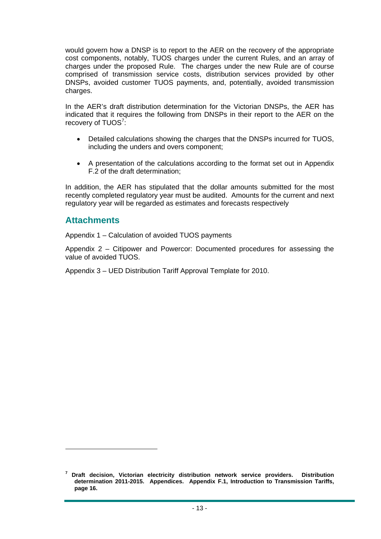would govern how a DNSP is to report to the AER on the recovery of the appropriate cost components, notably, TUOS charges under the current Rules, and an array of charges under the proposed Rule. The charges under the new Rule are of course comprised of transmission service costs, distribution services provided by other DNSPs, avoided customer TUOS payments, and, potentially, avoided transmission charges.

In the AER's draft distribution determination for the Victorian DNSPs, the AER has indicated that it requires the following from DNSPs in their report to the AER on the recovery of TUOS<sup>7</sup>:

- Detailed calculations showing the charges that the DNSPs incurred for TUOS, including the unders and overs component;
- A presentation of the calculations according to the format set out in Appendix F.2 of the draft determination;

In addition, the AER has stipulated that the dollar amounts submitted for the most recently completed regulatory year must be audited. Amounts for the current and next regulatory year will be regarded as estimates and forecasts respectively

# **Attachments**

Appendix 1 – Calculation of avoided TUOS payments

Appendix 2 – Citipower and Powercor: Documented procedures for assessing the value of avoided TUOS.

Appendix 3 – UED Distribution Tariff Approval Template for 2010.

**<sup>7</sup> Draft decision, Victorian electricity distribution network service providers. Distribution determination 2011-2015. Appendices. Appendix F.1, Introduction to Transmission Tariffs, page 16.**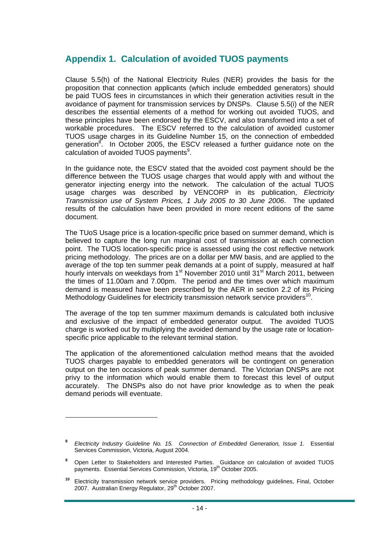# **Appendix 1. Calculation of avoided TUOS payments**

Clause 5.5(h) of the National Electricity Rules (NER) provides the basis for the proposition that connection applicants (which include embedded generators) should be paid TUOS fees in circumstances in which their generation activities result in the avoidance of payment for transmission services by DNSPs. Clause 5.5(i) of the NER describes the essential elements of a method for working out avoided TUOS, and these principles have been endorsed by the ESCV, and also transformed into a set of workable procedures. The ESCV referred to the calculation of avoided customer TUOS usage charges in its Guideline Number 15, on the connection of embedded generation<sup>8</sup>. In October 2005, the ESCV released a further guidance note on the calculation of avoided TUOS payments<sup>9</sup>.

In the guidance note, the ESCV stated that the avoided cost payment should be the difference between the TUOS usage charges that would apply with and without the generator injecting energy into the network. The calculation of the actual TUOS usage charges was described by VENCORP in its publication, *Electricity Transmission use of System Prices, 1 July 2005 to 30 June 2006*. The updated results of the calculation have been provided in more recent editions of the same document.

The TUoS Usage price is a location-specific price based on summer demand, which is believed to capture the long run marginal cost of transmission at each connection point. The TUOS location-specific price is assessed using the cost reflective network pricing methodology. The prices are on a dollar per MW basis, and are applied to the average of the top ten summer peak demands at a point of supply, measured at half hourly intervals on weekdays from 1<sup>st</sup> November 2010 until 31<sup>st</sup> March 2011, between the times of 11.00am and 7.00pm. The period and the times over which maximum demand is measured have been prescribed by the AER in section 2.2 of its Pricing Methodology Guidelines for electricity transmission network service providers<sup>10</sup>.

The average of the top ten summer maximum demands is calculated both inclusive and exclusive of the impact of embedded generator output. The avoided TUOS charge is worked out by multiplying the avoided demand by the usage rate or locationspecific price applicable to the relevant terminal station.

The application of the aforementioned calculation method means that the avoided TUOS charges payable to embedded generators will be contingent on generation output on the ten occasions of peak summer demand. The Victorian DNSPs are not privy to the information which would enable them to forecast this level of output accurately. The DNSPs also do not have prior knowledge as to when the peak demand periods will eventuate.

**<sup>8</sup>** *Electricity Industry Guideline No. 15. Connection of Embedded Generation, Issue 1.* Essential Services Commission, Victoria, August 2004.

**<sup>9</sup>** Open Letter to Stakeholders and Interested Parties. Guidance on calculation of avoided TUOS payments. Essential Services Commission, Victoria, 19<sup>th</sup> October 2005.

**<sup>10</sup>** Electricity transmission network service providers. Pricing methodology guidelines, Final, October 2007. Australian Energy Regulator, 29th October 2007.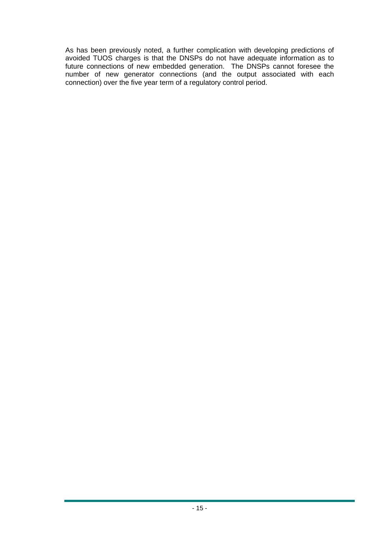As has been previously noted, a further complication with developing predictions of avoided TUOS charges is that the DNSPs do not have adequate information as to future connections of new embedded generation. The DNSPs cannot foresee the number of new generator connections (and the output associated with each connection) over the five year term of a regulatory control period.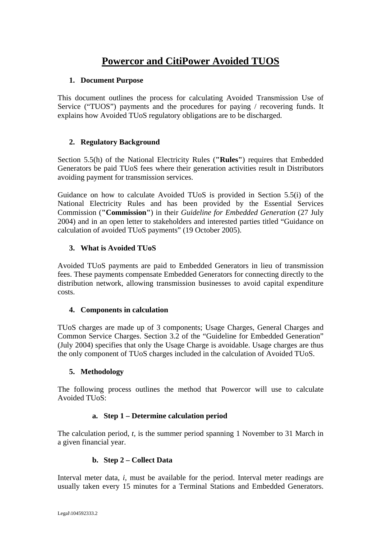# **Powercor and CitiPower Avoided TUOS**

# **1. Document Purpose**

This document outlines the process for calculating Avoided Transmission Use of Service ("TUOS") payments and the procedures for paying / recovering funds. It explains how Avoided TUoS regulatory obligations are to be discharged.

# **2. Regulatory Background**

Section 5.5(h) of the National Electricity Rules (**"Rules"**) requires that Embedded Generators be paid TUoS fees where their generation activities result in Distributors avoiding payment for transmission services.

Guidance on how to calculate Avoided TUoS is provided in Section 5.5(i) of the National Electricity Rules and has been provided by the Essential Services Commission (**"Commission"**) in their *Guideline for Embedded Generation* (27 July 2004) and in an open letter to stakeholders and interested parties titled "Guidance on calculation of avoided TUoS payments" (19 October 2005).

# **3. What is Avoided TUoS**

Avoided TUoS payments are paid to Embedded Generators in lieu of transmission fees. These payments compensate Embedded Generators for connecting directly to the distribution network, allowing transmission businesses to avoid capital expenditure costs.

# **4. Components in calculation**

TUoS charges are made up of 3 components; Usage Charges, General Charges and Common Service Charges. Section 3.2 of the "Guideline for Embedded Generation" (July 2004) specifies that only the Usage Charge is avoidable. Usage charges are thus the only component of TUoS charges included in the calculation of Avoided TUoS.

# **5. Methodology**

The following process outlines the method that Powercor will use to calculate Avoided TUoS:

# **a. Step 1 – Determine calculation period**

The calculation period, *t,* is the summer period spanning 1 November to 31 March in a given financial year.

# **b. Step 2 – Collect Data**

Interval meter data, *i,* must be available for the period. Interval meter readings are usually taken every 15 minutes for a Terminal Stations and Embedded Generators.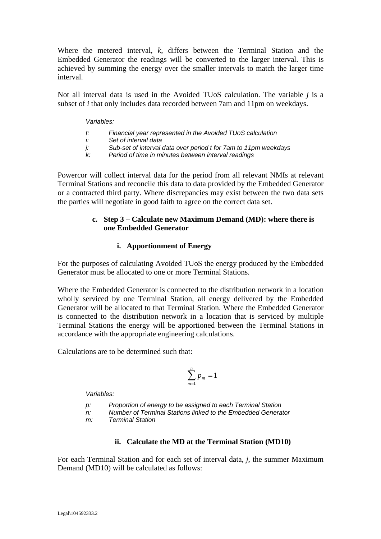Where the metered interval, *k*, differs between the Terminal Station and the Embedded Generator the readings will be converted to the larger interval. This is achieved by summing the energy over the smaller intervals to match the larger time interval.

Not all interval data is used in the Avoided TUoS calculation. The variable *j* is a subset of *i* that only includes data recorded between 7am and 11pm on weekdays.

#### *Variables:*

- *t: Financial year represented in the Avoided TUoS calculation*
- *i: Set of interval data*
- *j: Sub-set of interval data over period t for 7am to 11pm weekdays*
- *k: Period of time in minutes between interval readings*

Powercor will collect interval data for the period from all relevant NMIs at relevant Terminal Stations and reconcile this data to data provided by the Embedded Generator or a contracted third party. Where discrepancies may exist between the two data sets the parties will negotiate in good faith to agree on the correct data set.

## **c. Step 3 – Calculate new Maximum Demand (MD): where there is one Embedded Generator**

#### **i. Apportionment of Energy**

For the purposes of calculating Avoided TUoS the energy produced by the Embedded Generator must be allocated to one or more Terminal Stations.

Where the Embedded Generator is connected to the distribution network in a location wholly serviced by one Terminal Station, all energy delivered by the Embedded Generator will be allocated to that Terminal Station. Where the Embedded Generator is connected to the distribution network in a location that is serviced by multiple Terminal Stations the energy will be apportioned between the Terminal Stations in accordance with the appropriate engineering calculations.

Calculations are to be determined such that:

$$
\sum_{m=1}^n p_m = 1
$$

*Variables:* 

*p: Proportion of energy to be assigned to each Terminal Station* 

*n: Number of Terminal Stations linked to the Embedded Generator* 

*m: Terminal Station*

## **ii. Calculate the MD at the Terminal Station (MD10)**

For each Terminal Station and for each set of interval data, *j*, the summer Maximum Demand (MD10) will be calculated as follows: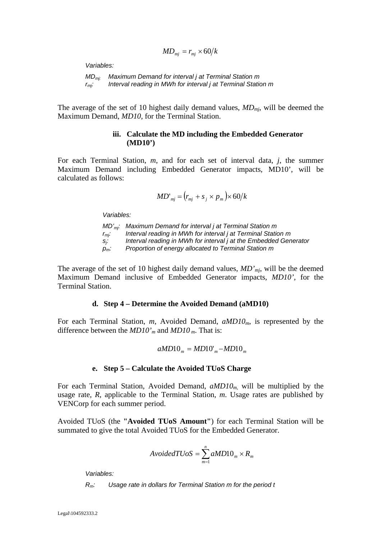$$
MD_{mj} = r_{mj} \times 60/k
$$

*Variables:* 

*MDmj: Maximum Demand for interval j at Terminal Station m rmj: Interval reading in MWh for interval j at Terminal Station m*

The average of the set of 10 highest daily demand values, *MDmj*, will be deemed the Maximum Demand, *MD10,* for the Terminal Station.

#### **iii. Calculate the MD including the Embedded Generator (MD10')**

For each Terminal Station, *m*, and for each set of interval data, *j*, the summer Maximum Demand including Embedded Generator impacts, MD10', will be calculated as follows:

$$
MD'_{mj} = (r_{mj} + s_j \times p_m) \times 60/k
$$

*Variables:* 

*MD'mj: Maximum Demand for interval j at Terminal Station m r<sub>mj</sub>: Interval reading in MWh for interval j at Terminal Station m sj : Interval reading in MWh for interval j at the Embedded Generator pm: Proportion of energy allocated to Terminal Station m* 

The average of the set of 10 highest daily demand values, *MD'mj*, will be the deemed Maximum Demand inclusive of Embedded Generator impacts, *MD10',* for the Terminal Station.

#### **d. Step 4 – Determine the Avoided Demand (aMD10)**

For each Terminal Station, *m*, Avoided Demand, *aMD10<sub>m</sub>*, is represented by the difference between the *MD10'm* and *MD10 m*. That is:

$$
aMD10m = MD10'm - MD10m
$$

#### **e. Step 5 – Calculate the Avoided TUoS Charge**

For each Terminal Station, Avoided Demand, *aMD10m,* will be multiplied by the usage rate, *R*, applicable to the Terminal Station, *m*. Usage rates are published by VENCorp for each summer period.

Avoided TUoS (the **"Avoided TUoS Amount"**) for each Terminal Station will be summated to give the total Avoided TUoS for the Embedded Generator.

$$
Avoided TUS = \sum_{m=1}^{n} aMD10_m \times R_m
$$

*Variables:* 

*Rm: Usage rate in dollars for Terminal Station m for the period t*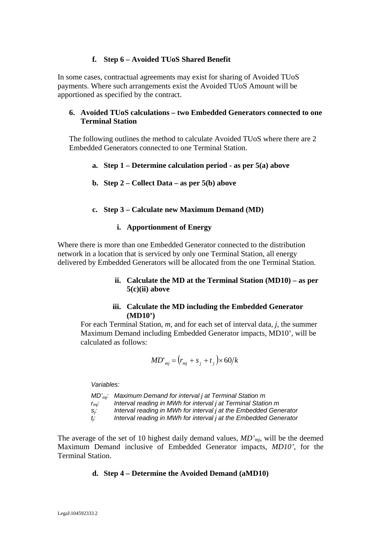## **f. Step 6 – Avoided TUoS Shared Benefit**

In some cases, contractual agreements may exist for sharing of Avoided TUoS payments. Where such arrangements exist the Avoided TUoS Amount will be apportioned as specified by the contract.

## **6. Avoided TUoS calculations – two Embedded Generators connected to one Terminal Station**

The following outlines the method to calculate Avoided TUoS where there are 2 Embedded Generators connected to one Terminal Station.

- **a. Step 1 Determine calculation period as per 5(a) above**
- **b. Step 2 Collect Data as per 5(b) above**

#### **c. Step 3 – Calculate new Maximum Demand (MD)**

#### **i. Apportionment of Energy**

Where there is more than one Embedded Generator connected to the distribution network in a location that is serviced by only one Terminal Station, all energy delivered by Embedded Generators will be allocated from the one Terminal Station.

### **ii. Calculate the MD at the Terminal Station (MD10) – as per 5(c)(ii) above**

#### **iii. Calculate the MD including the Embedded Generator (MD10')**

For each Terminal Station, *m*, and for each set of interval data, *j*, the summer Maximum Demand including Embedded Generator impacts, MD10', will be calculated as follows:

$$
MD'_{mj} = (r_{mj} + s_j + t_j) \times 60/k
$$

*Variables:* 

*MD'mj: Maximum Demand for interval j at Terminal Station m rmj: Interval reading in MWh for interval j at Terminal Station m sj : Interval reading in MWh for interval j at the Embedded Generator*   $t_i$ . *: Interval reading in MWh for interval j at the Embedded Generator* 

The average of the set of 10 highest daily demand values, *MD'mj*, will be the deemed Maximum Demand inclusive of Embedded Generator impacts, *MD10',* for the Terminal Station.

#### **d. Step 4 – Determine the Avoided Demand (aMD10)**